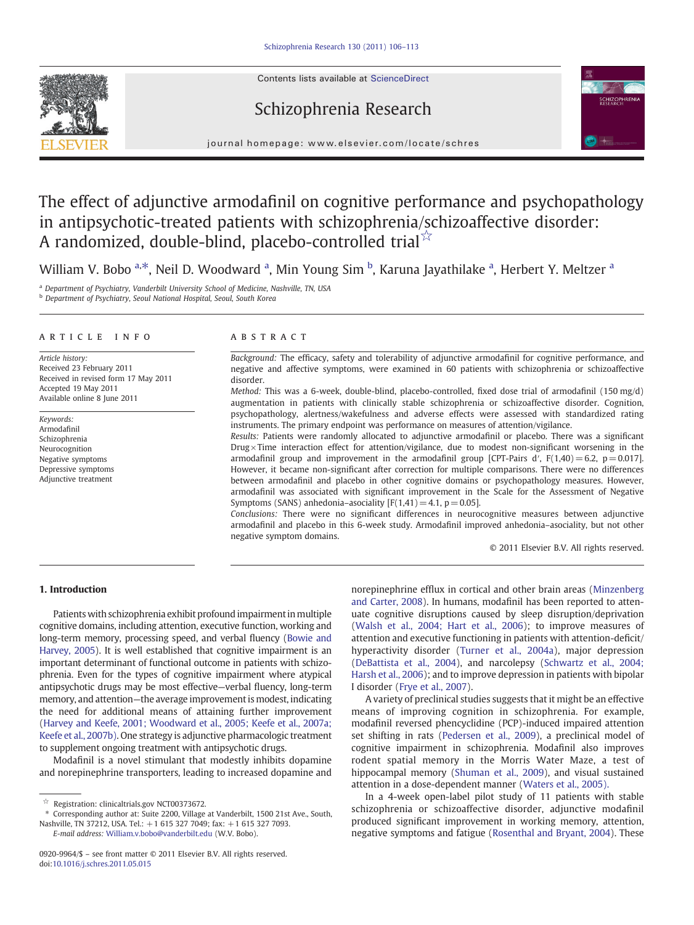Contents lists available at ScienceDirect







journal homepage: www.elsevier.com/locate/schres

# The effect of adjunctive armodafinil on cognitive performance and psychopathology in antipsychotic-treated patients with schizophrenia/schizoaffective disorder: A randomized, double-blind, placebo-controlled trial $\frac{1}{2}$

William V. Bobo <sup>a,\*</sup>, Neil D. Woodward <sup>a</sup>, Min Young Sim <sup>b</sup>, Karuna Jayathilake <sup>a</sup>, Herbert Y. Meltzer <sup>a</sup>

a Department of Psychiatry, Vanderbilt University School of Medicine, Nashville, TN, USA

**b** Department of Psychiatry, Seoul National Hospital, Seoul, South Korea

# article info abstract

Article history: Received 23 February 2011 Received in revised form 17 May 2011 Accepted 19 May 2011 Available online 8 June 2011

Keywords: Armodafinil Schizophrenia Neurocognition Negative symptoms Depressive symptoms Adjunctive treatment

Background: The efficacy, safety and tolerability of adjunctive armodafinil for cognitive performance, and negative and affective symptoms, were examined in 60 patients with schizophrenia or schizoaffective disorder.

Method: This was a 6-week, double-blind, placebo-controlled, fixed dose trial of armodafinil (150 mg/d) augmentation in patients with clinically stable schizophrenia or schizoaffective disorder. Cognition, psychopathology, alertness/wakefulness and adverse effects were assessed with standardized rating instruments. The primary endpoint was performance on measures of attention/vigilance.

Results: Patients were randomly allocated to adjunctive armodafinil or placebo. There was a significant Drug  $\times$  Time interaction effect for attention/vigilance, due to modest non-significant worsening in the armodafinil group and improvement in the armodafinil group [CPT-Pairs d',  $F(1,40) = 6.2$ ,  $p = 0.017$ ]. However, it became non-significant after correction for multiple comparisons. There were no differences between armodafinil and placebo in other cognitive domains or psychopathology measures. However, armodafinil was associated with significant improvement in the Scale for the Assessment of Negative Symptoms (SANS) anhedonia–asociality  $[F(1,41) = 4.1, p = 0.05]$ .

Conclusions: There were no significant differences in neurocognitive measures between adjunctive armodafinil and placebo in this 6-week study. Armodafinil improved anhedonia–asociality, but not other negative symptom domains.

© 2011 Elsevier B.V. All rights reserved.

# 1. Introduction

Patients with schizophrenia exhibit profound impairment in multiple cognitive domains, including attention, executive function, working and long-term memory, processing speed, and verbal fluency ([Bowie and](#page-6-0) [Harvey, 2005\)](#page-6-0). It is well established that cognitive impairment is an important determinant of functional outcome in patients with schizophrenia. Even for the types of cognitive impairment where atypical antipsychotic drugs may be most effective—verbal fluency, long-term memory, and attention—the average improvement is modest, indicating the need for additional means of attaining further improvement [\(Harvey and Keefe, 2001; Woodward et al., 2005; Keefe et al., 2007a;](#page-6-0) [Keefe et al., 2007b\)](#page-6-0). One strategy is adjunctive pharmacologic treatment to supplement ongoing treatment with antipsychotic drugs.

Modafinil is a novel stimulant that modestly inhibits dopamine and norepinephrine transporters, leading to increased dopamine and

E-mail address: [William.v.bobo@vanderbilt.edu](mailto:William.v.bobo@vanderbilt.edu) (W.V. Bobo).

norepinephrine efflux in cortical and other brain areas [\(Minzenberg](#page-6-0) [and Carter, 2008\)](#page-6-0). In humans, modafinil has been reported to attenuate cognitive disruptions caused by sleep disruption/deprivation [\(Walsh et al., 2004; Hart et al., 2006](#page-6-0)); to improve measures of attention and executive functioning in patients with attention-deficit/ hyperactivity disorder [\(Turner et al., 2004a](#page-6-0)), major depression [\(DeBattista et al., 2004\)](#page-6-0), and narcolepsy [\(Schwartz et al., 2004;](#page-6-0) [Harsh et al., 2006](#page-6-0)); and to improve depression in patients with bipolar I disorder ([Frye et al., 2007\)](#page-6-0).

A variety of preclinical studies suggests that it might be an effective means of improving cognition in schizophrenia. For example, modafinil reversed phencyclidine (PCP)-induced impaired attention set shifting in rats ([Pedersen et al., 2009](#page-6-0)), a preclinical model of cognitive impairment in schizophrenia. Modafinil also improves rodent spatial memory in the Morris Water Maze, a test of hippocampal memory ([Shuman et al., 2009\)](#page-6-0), and visual sustained attention in a dose-dependent manner [\(Waters et al., 2005\).](#page-6-0)

In a 4-week open-label pilot study of 11 patients with stable schizophrenia or schizoaffective disorder, adjunctive modafinil produced significant improvement in working memory, attention, negative symptoms and fatigue ([Rosenthal and Bryant, 2004\)](#page-6-0). These

<sup>☆</sup> Registration: clinicaltrials.gov NCT00373672.

<sup>⁎</sup> Corresponding author at: Suite 2200, Village at Vanderbilt, 1500 21st Ave., South, Nashville, TN 37212, USA. Tel.: +1 615 327 7049; fax: +1 615 327 7093.

<sup>0920-9964/\$</sup> – see front matter © 2011 Elsevier B.V. All rights reserved. doi[:10.1016/j.schres.2011.05.015](http://dx.doi.org/10.1016/j.schres.2011.05.015)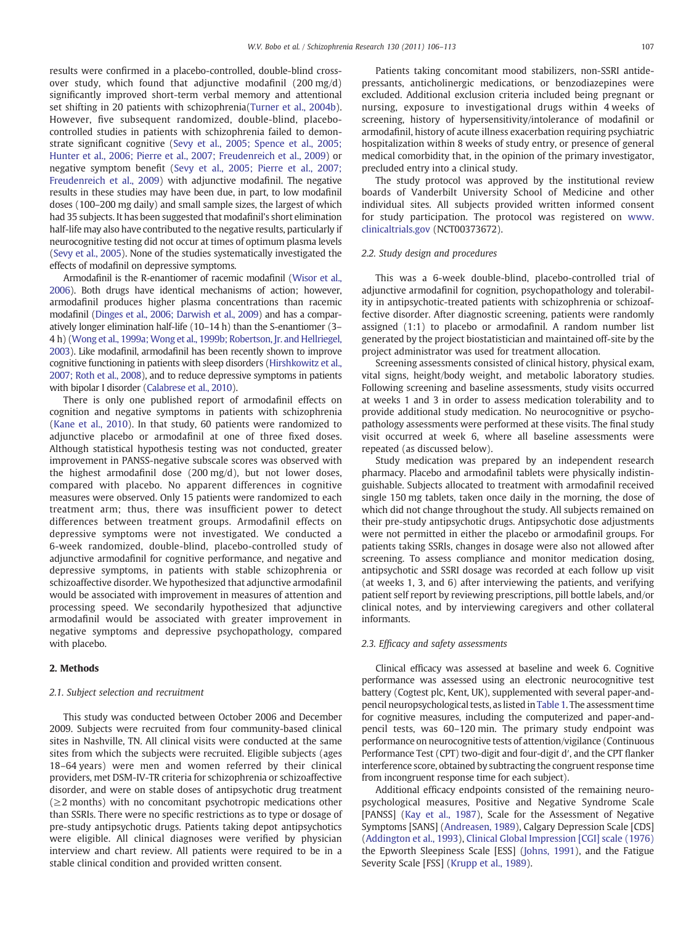results were confirmed in a placebo-controlled, double-blind crossover study, which found that adjunctive modafinil (200 mg/d) significantly improved short-term verbal memory and attentional set shifting in 20 patients with schizophrenia([Turner et al., 2004b](#page-6-0)). However, five subsequent randomized, double-blind, placebocontrolled studies in patients with schizophrenia failed to demonstrate significant cognitive ([Sevy et al., 2005; Spence et al., 2005;](#page-6-0) [Hunter et al., 2006; Pierre et al., 2007; Freudenreich et al., 2009\)](#page-6-0) or negative symptom benefit ([Sevy et al., 2005; Pierre et al., 2007;](#page-6-0) [Freudenreich et al., 2009\)](#page-6-0) with adjunctive modafinil. The negative results in these studies may have been due, in part, to low modafinil doses (100–200 mg daily) and small sample sizes, the largest of which had 35 subjects. It has been suggested that modafinil's short elimination half-life may also have contributed to the negative results, particularly if neurocognitive testing did not occur at times of optimum plasma levels [\(Sevy et al., 2005](#page-6-0)). None of the studies systematically investigated the effects of modafinil on depressive symptoms.

Armodafinil is the R-enantiomer of racemic modafinil [\(Wisor et al.,](#page-7-0) [2006](#page-7-0)). Both drugs have identical mechanisms of action; however, armodafinil produces higher plasma concentrations than racemic modafinil [\(Dinges et al., 2006; Darwish et al., 2009\)](#page-6-0) and has a comparatively longer elimination half-life (10–14 h) than the S-enantiomer (3– 4 h) ([Wong et al., 1999a;Wong et al., 1999b; Robertson, Jr. and Hellriegel,](#page-7-0) [2003](#page-7-0)). Like modafinil, armodafinil has been recently shown to improve cognitive functioning in patients with sleep disorders [\(Hirshkowitz et al.,](#page-6-0) [2007; Roth et al., 2008](#page-6-0)), and to reduce depressive symptoms in patients with bipolar I disorder [\(Calabrese et al., 2010](#page-6-0)).

There is only one published report of armodafinil effects on cognition and negative symptoms in patients with schizophrenia [\(Kane et al., 2010\)](#page-6-0). In that study, 60 patients were randomized to adjunctive placebo or armodafinil at one of three fixed doses. Although statistical hypothesis testing was not conducted, greater improvement in PANSS-negative subscale scores was observed with the highest armodafinil dose (200 mg/d), but not lower doses, compared with placebo. No apparent differences in cognitive measures were observed. Only 15 patients were randomized to each treatment arm; thus, there was insufficient power to detect differences between treatment groups. Armodafinil effects on depressive symptoms were not investigated. We conducted a 6-week randomized, double-blind, placebo-controlled study of adjunctive armodafinil for cognitive performance, and negative and depressive symptoms, in patients with stable schizophrenia or schizoaffective disorder. We hypothesized that adjunctive armodafinil would be associated with improvement in measures of attention and processing speed. We secondarily hypothesized that adjunctive armodafinil would be associated with greater improvement in negative symptoms and depressive psychopathology, compared with placebo.

# 2. Methods

#### 2.1. Subject selection and recruitment

This study was conducted between October 2006 and December 2009. Subjects were recruited from four community-based clinical sites in Nashville, TN. All clinical visits were conducted at the same sites from which the subjects were recruited. Eligible subjects (ages 18–64 years) were men and women referred by their clinical providers, met DSM-IV-TR criteria for schizophrenia or schizoaffective disorder, and were on stable doses of antipsychotic drug treatment  $(\geq 2$  months) with no concomitant psychotropic medications other than SSRIs. There were no specific restrictions as to type or dosage of pre-study antipsychotic drugs. Patients taking depot antipsychotics were eligible. All clinical diagnoses were verified by physician interview and chart review. All patients were required to be in a stable clinical condition and provided written consent.

Patients taking concomitant mood stabilizers, non-SSRI antidepressants, anticholinergic medications, or benzodiazepines were excluded. Additional exclusion criteria included being pregnant or nursing, exposure to investigational drugs within 4 weeks of screening, history of hypersensitivity/intolerance of modafinil or armodafinil, history of acute illness exacerbation requiring psychiatric hospitalization within 8 weeks of study entry, or presence of general medical comorbidity that, in the opinion of the primary investigator, precluded entry into a clinical study.

The study protocol was approved by the institutional review boards of Vanderbilt University School of Medicine and other individual sites. All subjects provided written informed consent for study participation. The protocol was registered on [www.](http://www.clinicaltrials.gov) [clinicaltrials.gov](http://www.clinicaltrials.gov) (NCT00373672).

#### 2.2. Study design and procedures

This was a 6-week double-blind, placebo-controlled trial of adjunctive armodafinil for cognition, psychopathology and tolerability in antipsychotic-treated patients with schizophrenia or schizoaffective disorder. After diagnostic screening, patients were randomly assigned (1:1) to placebo or armodafinil. A random number list generated by the project biostatistician and maintained off-site by the project administrator was used for treatment allocation.

Screening assessments consisted of clinical history, physical exam, vital signs, height/body weight, and metabolic laboratory studies. Following screening and baseline assessments, study visits occurred at weeks 1 and 3 in order to assess medication tolerability and to provide additional study medication. No neurocognitive or psychopathology assessments were performed at these visits. The final study visit occurred at week 6, where all baseline assessments were repeated (as discussed below).

Study medication was prepared by an independent research pharmacy. Placebo and armodafinil tablets were physically indistinguishable. Subjects allocated to treatment with armodafinil received single 150 mg tablets, taken once daily in the morning, the dose of which did not change throughout the study. All subjects remained on their pre-study antipsychotic drugs. Antipsychotic dose adjustments were not permitted in either the placebo or armodafinil groups. For patients taking SSRIs, changes in dosage were also not allowed after screening. To assess compliance and monitor medication dosing, antipsychotic and SSRI dosage was recorded at each follow up visit (at weeks 1, 3, and 6) after interviewing the patients, and verifying patient self report by reviewing prescriptions, pill bottle labels, and/or clinical notes, and by interviewing caregivers and other collateral informants.

### 2.3. Efficacy and safety assessments

Clinical efficacy was assessed at baseline and week 6. Cognitive performance was assessed using an electronic neurocognitive test battery (Cogtest plc, Kent, UK), supplemented with several paper-andpencil neuropsychological tests, as listed in [Table 1.](#page-2-0) The assessment time for cognitive measures, including the computerized and paper-andpencil tests, was 60–120 min. The primary study endpoint was performance on neurocognitive tests of attention/vigilance (Continuous Performance Test (CPT) two-digit and four-digit d′, and the CPT flanker interference score, obtained by subtracting the congruent response time from incongruent response time for each subject).

Additional efficacy endpoints consisted of the remaining neuropsychological measures, Positive and Negative Syndrome Scale [PANSS] ([Kay et al., 1987](#page-6-0)), Scale for the Assessment of Negative Symptoms [SANS] ([Andreasen, 1989](#page-6-0)), Calgary Depression Scale [CDS] [\(Addington et al., 1993](#page-6-0)), [Clinical Global Impression \[CGI\] scale \(1976\)](#page-6-0) the Epworth Sleepiness Scale [ESS] ([Johns, 1991\)](#page-6-0), and the Fatigue Severity Scale [FSS] ([Krupp et al., 1989\)](#page-6-0).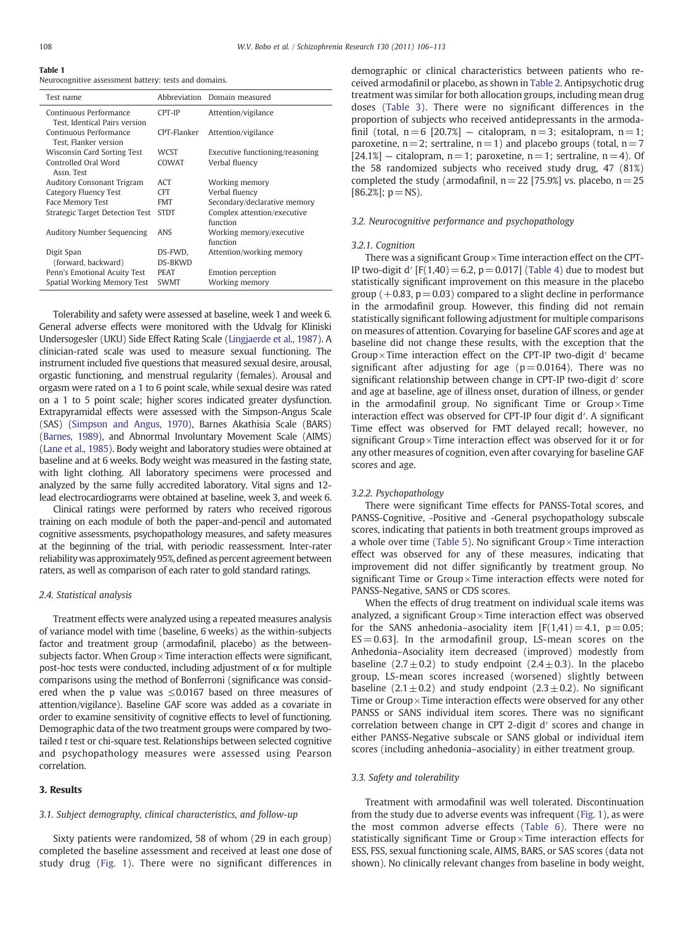#### <span id="page-2-0"></span>Table 1

Neurocognitive assessment battery: tests and domains.

| Test name                                               |                           | Abbreviation Domain measured            |
|---------------------------------------------------------|---------------------------|-----------------------------------------|
| Continuous Performance<br>Test, Identical Pairs version | CPT-IP                    | Attention/vigilance                     |
| Continuous Performance<br>Test, Flanker version         | CPT-Flanker               | Attention/vigilance                     |
| Wisconsin Card Sorting Test                             | WCST                      | Executive functioning/reasoning         |
| Controlled Oral Word<br>Assn. Test                      | COWAT                     | Verbal fluency                          |
| Auditory Consonant Trigram                              | ACT                       | Working memory                          |
| Category Fluency Test                                   | <b>CFT</b>                | Verbal fluency                          |
| Face Memory Test                                        | <b>FMT</b>                | Secondary/declarative memory            |
| Strategic Target Detection Test                         | <b>STDT</b>               | Complex attention/executive<br>function |
| <b>Auditory Number Sequencing</b>                       | ANS                       | Working memory/executive<br>function    |
| Digit Span<br>(forward, backward)                       | DS-FWD.<br><b>DS-BKWD</b> | Attention/working memory                |
| Penn's Emotional Acuity Test                            | <b>PEAT</b>               | Emotion perception                      |
| Spatial Working Memory Test                             | <b>SWMT</b>               | Working memory                          |

Tolerability and safety were assessed at baseline, week 1 and week 6. General adverse effects were monitored with the Udvalg for Kliniski Undersogesler (UKU) Side Effect Rating Scale [\(Lingjaerde et al., 1987\)](#page-6-0). A clinician-rated scale was used to measure sexual functioning. The instrument included five questions that measured sexual desire, arousal, orgastic functioning, and menstrual regularity (females). Arousal and orgasm were rated on a 1 to 6 point scale, while sexual desire was rated on a 1 to 5 point scale; higher scores indicated greater dysfunction. Extrapyramidal effects were assessed with the Simpson-Angus Scale (SAS) [\(Simpson and Angus, 1970](#page-6-0)), Barnes Akathisia Scale (BARS) [\(Barnes, 1989](#page-6-0)), and Abnormal Involuntary Movement Scale (AIMS) [\(Lane et al., 1985](#page-6-0)). Body weight and laboratory studies were obtained at baseline and at 6 weeks. Body weight was measured in the fasting state, with light clothing. All laboratory specimens were processed and analyzed by the same fully accredited laboratory. Vital signs and 12 lead electrocardiograms were obtained at baseline, week 3, and week 6.

Clinical ratings were performed by raters who received rigorous training on each module of both the paper-and-pencil and automated cognitive assessments, psychopathology measures, and safety measures at the beginning of the trial, with periodic reassessment. Inter-rater reliability was approximately 95%, defined as percent agreement between raters, as well as comparison of each rater to gold standard ratings.

# 2.4. Statistical analysis

Treatment effects were analyzed using a repeated measures analysis of variance model with time (baseline, 6 weeks) as the within-subjects factor and treatment group (armodafinil, placebo) as the betweensubjects factor. When  $Group \times Time$  interaction effects were significant, post-hoc tests were conducted, including adjustment of  $α$  for multiple comparisons using the method of Bonferroni (significance was considered when the p value was  $\leq 0.0167$  based on three measures of attention/vigilance). Baseline GAF score was added as a covariate in order to examine sensitivity of cognitive effects to level of functioning. Demographic data of the two treatment groups were compared by twotailed t test or chi-square test. Relationships between selected cognitive and psychopathology measures were assessed using Pearson correlation.

# 3. Results

# 3.1. Subject demography, clinical characteristics, and follow-up

Sixty patients were randomized, 58 of whom (29 in each group) completed the baseline assessment and received at least one dose of study drug ([Fig. 1\)](#page-3-0). There were no significant differences in

demographic or clinical characteristics between patients who received armodafinil or placebo, as shown in [Table 2.](#page-3-0) Antipsychotic drug treatment was similar for both allocation groups, including mean drug doses ([Table 3\)](#page-3-0). There were no significant differences in the proportion of subjects who received antidepressants in the armodafinil (total,  $n=6$  [20.7%] – citalopram,  $n=3$ ; esitalopram,  $n=1$ ; paroxetine,  $n = 2$ ; sertraline,  $n = 1$ ) and placebo groups (total,  $n = 7$  $[24.1\%]$  – citalopram, n = 1; paroxetine, n = 1; sertraline, n = 4). Of the 58 randomized subjects who received study drug, 47 (81%) completed the study (armodafinil,  $n = 22$  [75.9%] vs. placebo,  $n = 25$  $[86.2\%]; p = NS$ .

### 3.2. Neurocognitive performance and psychopathology

#### 3.2.1. Cognition

There was a significant Group  $\times$  Time interaction effect on the CPT-IP two-digit d'  $[F(1,40) = 6.2, p = 0.017]$  ([Table 4](#page-4-0)) due to modest but statistically significant improvement on this measure in the placebo group  $(+0.83, p= 0.03)$  compared to a slight decline in performance in the armodafinil group. However, this finding did not remain statistically significant following adjustment for multiple comparisons on measures of attention. Covarying for baseline GAF scores and age at baseline did not change these results, with the exception that the Group $\times$  Time interaction effect on the CPT-IP two-digit d' became significant after adjusting for age  $(p= 0.0164)$ . There was no significant relationship between change in CPT-IP two-digit d′ score and age at baseline, age of illness onset, duration of illness, or gender in the armodafinil group. No significant Time or  $Group \times Time$ interaction effect was observed for CPT-IP four digit d′. A significant Time effect was observed for FMT delayed recall; however, no significant Group $\times$  Time interaction effect was observed for it or for any other measures of cognition, even after covarying for baseline GAF scores and age.

# 3.2.2. Psychopathology

There were significant Time effects for PANSS-Total scores, and PANSS-Cognitive, -Positive and -General psychopathology subscale scores, indicating that patients in both treatment groups improved as a whole over time ([Table 5](#page-5-0)). No significant  $Group \times Time$  interaction effect was observed for any of these measures, indicating that improvement did not differ significantly by treatment group. No significant Time or  $Group \times Time$  interaction effects were noted for PANSS-Negative, SANS or CDS scores.

When the effects of drug treatment on individual scale items was analyzed, a significant Group $\times$ Time interaction effect was observed for the SANS anhedonia–asociality item  $[F(1,41) = 4.1, p = 0.05;$  $ES = 0.63$ ]. In the armodafinil group, LS-mean scores on the Anhedonia–Asociality item decreased (improved) modestly from baseline  $(2.7 \pm 0.2)$  to study endpoint  $(2.4 \pm 0.3)$ . In the placebo group, LS-mean scores increased (worsened) slightly between baseline  $(2.1 \pm 0.2)$  and study endpoint  $(2.3 \pm 0.2)$ . No significant Time or  $Group \times Time$  interaction effects were observed for any other PANSS or SANS individual item scores. There was no significant correlation between change in CPT 2-digit d′ scores and change in either PANSS-Negative subscale or SANS global or individual item scores (including anhedonia–asociality) in either treatment group.

#### 3.3. Safety and tolerability

Treatment with armodafinil was well tolerated. Discontinuation from the study due to adverse events was infrequent ([Fig. 1\)](#page-3-0), as were the most common adverse effects ([Table 6](#page-5-0)). There were no statistically significant Time or  $Group \times Time$  interaction effects for ESS, FSS, sexual functioning scale, AIMS, BARS, or SAS scores (data not shown). No clinically relevant changes from baseline in body weight,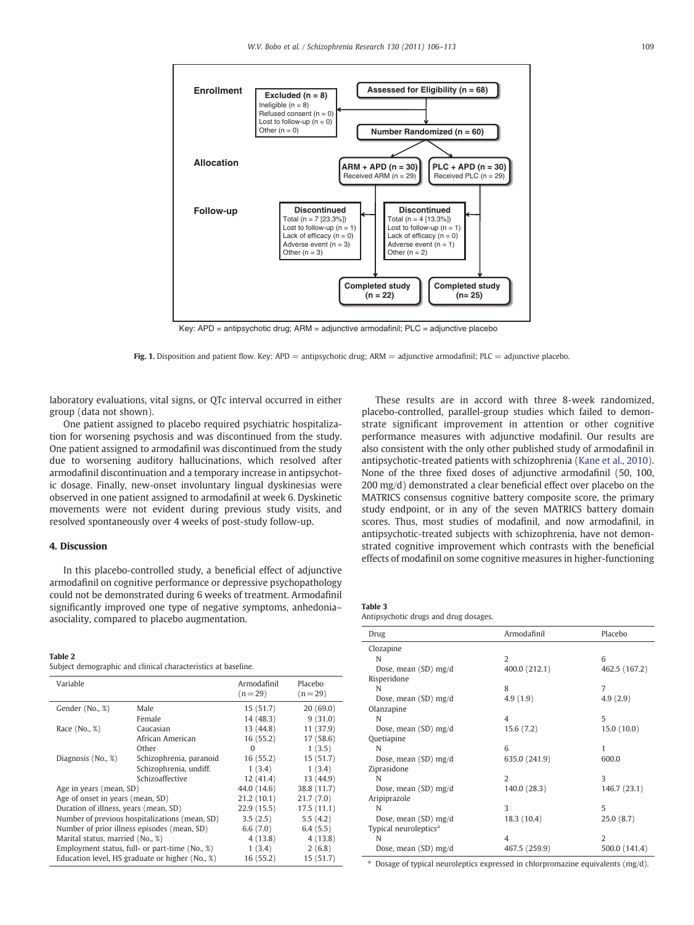<span id="page-3-0"></span>

Key: APD = antipsychotic drug; ARM = adjunctive armodafinil; PLC = adjunctive placebo

Fig. 1. Disposition and patient flow. Key:  $APD =$  antipsychotic drug;  $ARM =$  adjunctive armodafinil;  $PLC =$  adjunctive placebo.

laboratory evaluations, vital signs, or QTc interval occurred in either group (data not shown).

One patient assigned to placebo required psychiatric hospitalization for worsening psychosis and was discontinued from the study. One patient assigned to armodafinil was discontinued from the study due to worsening auditory hallucinations, which resolved after armodafinil discontinuation and a temporary increase in antipsychotic dosage. Finally, new-onset involuntary lingual dyskinesias were observed in one patient assigned to armodafinil at week 6. Dyskinetic movements were not evident during previous study visits, and resolved spontaneously over 4 weeks of post-study follow-up.

# 4. Discussion

In this placebo-controlled study, a beneficial effect of adjunctive armodafinil on cognitive performance or depressive psychopathology could not be demonstrated during 6 weeks of treatment. Armodafinil significantly improved one type of negative symptoms, anhedonia– asociality, compared to placebo augmentation.

#### Table 2

Subject demographic and clinical characteristics at baseline.

| Variable                         |                                                 | Armodafinil<br>$(n=29)$ | Placebo<br>$(n=29)$ |
|----------------------------------|-------------------------------------------------|-------------------------|---------------------|
| Gender (No., %)                  | Male                                            | 15(51.7)                | 20(69.0)            |
|                                  | Female                                          | 14 (48.3)               | 9(31.0)             |
| Race (No., %)                    | Caucasian                                       | 13 (44.8)               | 11(37.9)            |
|                                  | African American                                | 16(55.2)                | 17(58.6)            |
|                                  | Other                                           | $\Omega$                | 1(3.5)              |
| Diagnosis (No., %)               | Schizophrenia, paranoid                         | 16(55.2)                | 15(51.7)            |
|                                  | Schizophrenia, undiff.                          | 1(3.4)                  | 1(3.4)              |
|                                  | Schizoaffective                                 | 12(41.4)                | 13 (44.9)           |
| Age in years (mean, SD)          |                                                 | 44.0 (14.6)             | 38.8 (11.7)         |
| Age of onset in years (mean, SD) |                                                 | 21.2(10.1)              | 21.7(7.0)           |
|                                  | Duration of illness, years (mean, SD)           |                         | 17.5(11.1)          |
|                                  | Number of previous hospitalizations (mean, SD)  | 3.5(2.5)                | 5.5(4.2)            |
|                                  | Number of prior illness episodes (mean, SD)     | 6.6(7.0)                | 6.4(5.5)            |
| Marital status, married (No., %) |                                                 | 4(13.8)                 | 4(13.8)             |
|                                  | Employment status, full- or part-time (No., %)  | 1(3.4)                  | 2(6.8)              |
|                                  | Education level, HS graduate or higher (No., %) | 16(55.2)                | 15(51.7)            |

These results are in accord with three 8-week randomized, placebo-controlled, parallel-group studies which failed to demonstrate significant improvement in attention or other cognitive performance measures with adjunctive modafinil. Our results are also consistent with the only other published study of armodafinil in antipsychotic-treated patients with schizophrenia ([Kane et al., 2010](#page-6-0)). None of the three fixed doses of adjunctive armodafinil (50, 100, 200 mg/d) demonstrated a clear beneficial effect over placebo on the MATRICS consensus cognitive battery composite score, the primary study endpoint, or in any of the seven MATRICS battery domain scores. Thus, most studies of modafinil, and now armodafinil, in antipsychotic-treated subjects with schizophrenia, have not demonstrated cognitive improvement which contrasts with the beneficial effects of modafinil on some cognitive measures in higher-functioning

| Table 3                               |  |
|---------------------------------------|--|
| Antipsychotic drugs and drug dosages. |  |

| Drug                              | Armodafinil    | Placebo       |
|-----------------------------------|----------------|---------------|
| Clozapine                         |                |               |
| N                                 | $\overline{2}$ | 6             |
| Dose, mean (SD) mg/d              | 400.0 (212.1)  | 462.5 (167.2) |
| Risperidone                       |                |               |
| N                                 | 8              | 7             |
| Dose, mean (SD) mg/d              | 4.9(1.9)       | 4.9(2.9)      |
| Olanzapine                        |                |               |
| N                                 | 4              | 5             |
| Dose, mean (SD) mg/d              | 15.6(7.2)      | 15.0(10.0)    |
| Quetiapine                        |                |               |
| N                                 | 6              | 1             |
| Dose, mean (SD) mg/d              | 635.0 (241.9)  | 600.0         |
| Ziprasidone                       |                |               |
| N                                 | $\overline{2}$ | 3             |
| Dose, mean (SD) mg/d              | 140.0 (28.3)   | 146.7 (23.1)  |
| Aripiprazole                      |                |               |
| N                                 | 3              | 5             |
| Dose, mean (SD) mg/d              | 18.3 (10.4)    | 25.0(8.7)     |
| Typical neuroleptics <sup>a</sup> |                |               |
| N                                 | 4              | $\mathcal{L}$ |
| Dose, mean (SD) mg/d              | 467.5 (259.9)  | 500.0 (141.4) |

<sup>a</sup> Dosage of typical neuroleptics expressed in chlorpromazine equivalents (mg/d).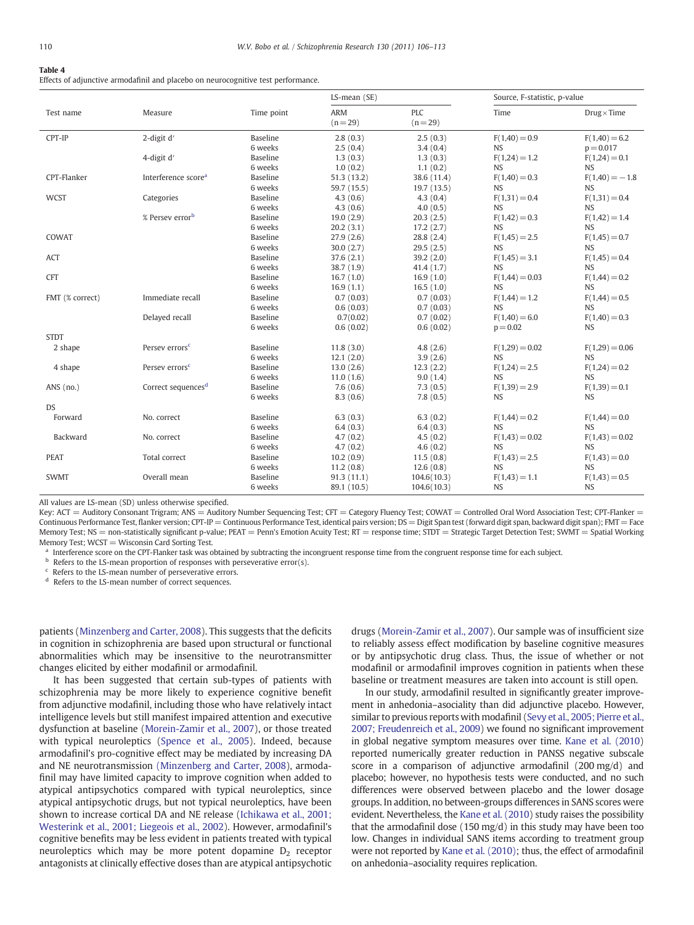### <span id="page-4-0"></span>Table 4

Effects of adjunctive armodafinil and placebo on neurocognitive test performance.

| ARM<br>PLC<br>Measure<br>Time<br>$Drug \times Time$<br>Test name<br>Time point<br>$(n = 29)$<br>$(n=29)$<br>CPT-IP<br>2-digit d'<br>Baseline<br>$F(1,40) = 0.9$<br>$F(1,40) = 6.2$<br>2.8(0.3)<br>2.5(0.3)<br>6 weeks<br><b>NS</b><br>2.5(0.4)<br>3.4(0.4)<br>$p = 0.017$<br>Baseline<br>4-digit d'<br>1.3(0.3)<br>1.3(0.3)<br>$F(1,24) = 1.2$<br>$F(1,24) = 0.1$<br>1.0(0.2)<br>1.1(0.2)<br><b>NS</b><br><b>NS</b><br>6 weeks<br>CPT-Flanker<br>Interference score <sup>a</sup><br><b>Baseline</b><br>51.3(13.2)<br>38.6 (11.4)<br>$F(1,40) = 0.3$<br>$F(1,40) = -1.8$<br>6 weeks<br>59.7 (15.5)<br>19.7(13.5)<br><b>NS</b><br><b>NS</b><br><b>WCST</b><br>Categories<br><b>Baseline</b><br>$F(1,31) = 0.4$<br>$F(1,31) = 0.4$<br>4.3(0.6)<br>4.3(0.4)<br>6 weeks<br><b>NS</b><br>4.3(0.6)<br>4.0(0.5)<br><b>NS</b><br>% Persev errorb<br>Baseline<br>19.0(2.9)<br>20.3(2.5)<br>$F(1,42) = 0.3$<br>$F(1,42) = 1.4$<br><b>NS</b><br>6 weeks<br>20.2(3.1)<br>17.2(2.7)<br><b>NS</b><br>COWAT<br>Baseline<br>$F(1,45) = 0.7$<br>27.9(2.6)<br>28.8 (2.4)<br>$F(1,45) = 2.5$<br>6 weeks<br>30.0(2.7)<br>29.5(2.5)<br><b>NS</b><br><b>NS</b><br><b>Baseline</b><br>ACT<br>$F(1,45) = 3.1$<br>$F(1,45) = 0.4$<br>37.6(2.1)<br>39.2(2.0)<br>6 weeks<br><b>NS</b><br><b>NS</b><br>38.7(1.9)<br>41.4 (1.7)<br><b>CFT</b><br>Baseline<br>16.7(1.0)<br>16.9(1.0)<br>$F(1,44) = 0.03$<br>$F(1,44) = 0.2$<br><b>NS</b><br>6 weeks<br>16.9(1.1)<br>16.5(1.0)<br><b>NS</b><br>Immediate recall<br>FMT (% correct)<br><b>Baseline</b><br>$F(1,44) = 1.2$<br>$F(1,44) = 0.5$<br>0.7(0.03)<br>0.7(0.03)<br>6 weeks<br>0.6(0.03)<br>0.7(0.03)<br><b>NS</b><br><b>NS</b><br>Delayed recall<br><b>Baseline</b><br>0.7(0.02)<br>0.7(0.02)<br>$F(1,40) = 6.0$<br>$F(1,40) = 0.3$<br>6 weeks<br>0.6(0.02)<br>$p = 0.02$<br><b>NS</b><br>0.6(0.02)<br><b>STDT</b><br>2 shape<br>Persey errors <sup>c</sup><br>Baseline<br>11.8(3.0)<br>4.8(2.6)<br>$F(1,29) = 0.02$<br>$F(1,29) = 0.06$<br>6 weeks<br>3.9(2.6)<br><b>NS</b><br><b>NS</b><br>12.1(2.0)<br><b>Baseline</b><br>4 shape<br>Persey errors <sup>c</sup><br>12.3(2.2)<br>$F(1,24) = 2.5$<br>$F(1,24) = 0.2$<br>13.0(2.6)<br><b>NS</b><br>6 weeks<br>11.0(1.6)<br>9.0(1.4)<br><b>NS</b><br><b>Baseline</b><br>ANS $(no.)$<br>Correct sequences <sup>d</sup><br>7.6(0.6)<br>7.3(0.5)<br>$F(1,39) = 2.9$<br>$F(1,39) = 0.1$<br>7.8(0.5)<br><b>NS</b><br><b>NS</b><br>6 weeks<br>8.3(0.6)<br><b>DS</b><br>Forward<br>No. correct<br><b>Baseline</b><br>6.3(0.3)<br>6.3(0.2)<br>$F(1,44) = 0.0$<br>$F(1,44) = 0.2$<br>6 weeks<br><b>NS</b><br><b>NS</b><br>6.4(0.3)<br>6.4(0.3)<br>Baseline<br>Backward<br>No. correct<br>4.7(0.2)<br>4.5(0.2)<br>$F(1,43) = 0.02$<br>$F(1,43) = 0.02$<br>4.7(0.2)<br>4.6(0.2)<br><b>NS</b><br><b>NS</b><br>6 weeks<br><b>PEAT</b><br>Total correct<br><b>Baseline</b><br>$F(1,43) = 2.5$<br>$F(1,43) = 0.0$<br>10.2(0.9)<br>11.5(0.8)<br><b>NS</b><br>6 weeks<br>11.2(0.8)<br><b>NS</b><br>12.6(0.8)<br><b>SWMT</b><br>Overall mean<br><b>Baseline</b><br>91.3(11.1)<br>104.6(10.3)<br>$F(1,43) = 1.1$<br>$F(1,43) = 0.5$ |  |         | LS-mean (SE) |             | Source, F-statistic, p-value |           |
|---------------------------------------------------------------------------------------------------------------------------------------------------------------------------------------------------------------------------------------------------------------------------------------------------------------------------------------------------------------------------------------------------------------------------------------------------------------------------------------------------------------------------------------------------------------------------------------------------------------------------------------------------------------------------------------------------------------------------------------------------------------------------------------------------------------------------------------------------------------------------------------------------------------------------------------------------------------------------------------------------------------------------------------------------------------------------------------------------------------------------------------------------------------------------------------------------------------------------------------------------------------------------------------------------------------------------------------------------------------------------------------------------------------------------------------------------------------------------------------------------------------------------------------------------------------------------------------------------------------------------------------------------------------------------------------------------------------------------------------------------------------------------------------------------------------------------------------------------------------------------------------------------------------------------------------------------------------------------------------------------------------------------------------------------------------------------------------------------------------------------------------------------------------------------------------------------------------------------------------------------------------------------------------------------------------------------------------------------------------------------------------------------------------------------------------------------------------------------------------------------------------------------------------------------------------------------------------------------------------------------------------------------------------------------------------------------------------------------------------------------------------------------------------------------------------------------------------------------------------------------------------------------------------------------------------------------------------------------------------------------------------------------------------------------------------------------------------|--|---------|--------------|-------------|------------------------------|-----------|
|                                                                                                                                                                                                                                                                                                                                                                                                                                                                                                                                                                                                                                                                                                                                                                                                                                                                                                                                                                                                                                                                                                                                                                                                                                                                                                                                                                                                                                                                                                                                                                                                                                                                                                                                                                                                                                                                                                                                                                                                                                                                                                                                                                                                                                                                                                                                                                                                                                                                                                                                                                                                                                                                                                                                                                                                                                                                                                                                                                                                                                                                                       |  |         |              |             |                              |           |
|                                                                                                                                                                                                                                                                                                                                                                                                                                                                                                                                                                                                                                                                                                                                                                                                                                                                                                                                                                                                                                                                                                                                                                                                                                                                                                                                                                                                                                                                                                                                                                                                                                                                                                                                                                                                                                                                                                                                                                                                                                                                                                                                                                                                                                                                                                                                                                                                                                                                                                                                                                                                                                                                                                                                                                                                                                                                                                                                                                                                                                                                                       |  |         |              |             |                              |           |
|                                                                                                                                                                                                                                                                                                                                                                                                                                                                                                                                                                                                                                                                                                                                                                                                                                                                                                                                                                                                                                                                                                                                                                                                                                                                                                                                                                                                                                                                                                                                                                                                                                                                                                                                                                                                                                                                                                                                                                                                                                                                                                                                                                                                                                                                                                                                                                                                                                                                                                                                                                                                                                                                                                                                                                                                                                                                                                                                                                                                                                                                                       |  |         |              |             |                              |           |
|                                                                                                                                                                                                                                                                                                                                                                                                                                                                                                                                                                                                                                                                                                                                                                                                                                                                                                                                                                                                                                                                                                                                                                                                                                                                                                                                                                                                                                                                                                                                                                                                                                                                                                                                                                                                                                                                                                                                                                                                                                                                                                                                                                                                                                                                                                                                                                                                                                                                                                                                                                                                                                                                                                                                                                                                                                                                                                                                                                                                                                                                                       |  |         |              |             |                              |           |
|                                                                                                                                                                                                                                                                                                                                                                                                                                                                                                                                                                                                                                                                                                                                                                                                                                                                                                                                                                                                                                                                                                                                                                                                                                                                                                                                                                                                                                                                                                                                                                                                                                                                                                                                                                                                                                                                                                                                                                                                                                                                                                                                                                                                                                                                                                                                                                                                                                                                                                                                                                                                                                                                                                                                                                                                                                                                                                                                                                                                                                                                                       |  |         |              |             |                              |           |
|                                                                                                                                                                                                                                                                                                                                                                                                                                                                                                                                                                                                                                                                                                                                                                                                                                                                                                                                                                                                                                                                                                                                                                                                                                                                                                                                                                                                                                                                                                                                                                                                                                                                                                                                                                                                                                                                                                                                                                                                                                                                                                                                                                                                                                                                                                                                                                                                                                                                                                                                                                                                                                                                                                                                                                                                                                                                                                                                                                                                                                                                                       |  |         |              |             |                              |           |
|                                                                                                                                                                                                                                                                                                                                                                                                                                                                                                                                                                                                                                                                                                                                                                                                                                                                                                                                                                                                                                                                                                                                                                                                                                                                                                                                                                                                                                                                                                                                                                                                                                                                                                                                                                                                                                                                                                                                                                                                                                                                                                                                                                                                                                                                                                                                                                                                                                                                                                                                                                                                                                                                                                                                                                                                                                                                                                                                                                                                                                                                                       |  |         |              |             |                              |           |
|                                                                                                                                                                                                                                                                                                                                                                                                                                                                                                                                                                                                                                                                                                                                                                                                                                                                                                                                                                                                                                                                                                                                                                                                                                                                                                                                                                                                                                                                                                                                                                                                                                                                                                                                                                                                                                                                                                                                                                                                                                                                                                                                                                                                                                                                                                                                                                                                                                                                                                                                                                                                                                                                                                                                                                                                                                                                                                                                                                                                                                                                                       |  |         |              |             |                              |           |
|                                                                                                                                                                                                                                                                                                                                                                                                                                                                                                                                                                                                                                                                                                                                                                                                                                                                                                                                                                                                                                                                                                                                                                                                                                                                                                                                                                                                                                                                                                                                                                                                                                                                                                                                                                                                                                                                                                                                                                                                                                                                                                                                                                                                                                                                                                                                                                                                                                                                                                                                                                                                                                                                                                                                                                                                                                                                                                                                                                                                                                                                                       |  |         |              |             |                              |           |
|                                                                                                                                                                                                                                                                                                                                                                                                                                                                                                                                                                                                                                                                                                                                                                                                                                                                                                                                                                                                                                                                                                                                                                                                                                                                                                                                                                                                                                                                                                                                                                                                                                                                                                                                                                                                                                                                                                                                                                                                                                                                                                                                                                                                                                                                                                                                                                                                                                                                                                                                                                                                                                                                                                                                                                                                                                                                                                                                                                                                                                                                                       |  |         |              |             |                              |           |
|                                                                                                                                                                                                                                                                                                                                                                                                                                                                                                                                                                                                                                                                                                                                                                                                                                                                                                                                                                                                                                                                                                                                                                                                                                                                                                                                                                                                                                                                                                                                                                                                                                                                                                                                                                                                                                                                                                                                                                                                                                                                                                                                                                                                                                                                                                                                                                                                                                                                                                                                                                                                                                                                                                                                                                                                                                                                                                                                                                                                                                                                                       |  |         |              |             |                              |           |
|                                                                                                                                                                                                                                                                                                                                                                                                                                                                                                                                                                                                                                                                                                                                                                                                                                                                                                                                                                                                                                                                                                                                                                                                                                                                                                                                                                                                                                                                                                                                                                                                                                                                                                                                                                                                                                                                                                                                                                                                                                                                                                                                                                                                                                                                                                                                                                                                                                                                                                                                                                                                                                                                                                                                                                                                                                                                                                                                                                                                                                                                                       |  |         |              |             |                              |           |
|                                                                                                                                                                                                                                                                                                                                                                                                                                                                                                                                                                                                                                                                                                                                                                                                                                                                                                                                                                                                                                                                                                                                                                                                                                                                                                                                                                                                                                                                                                                                                                                                                                                                                                                                                                                                                                                                                                                                                                                                                                                                                                                                                                                                                                                                                                                                                                                                                                                                                                                                                                                                                                                                                                                                                                                                                                                                                                                                                                                                                                                                                       |  |         |              |             |                              |           |
|                                                                                                                                                                                                                                                                                                                                                                                                                                                                                                                                                                                                                                                                                                                                                                                                                                                                                                                                                                                                                                                                                                                                                                                                                                                                                                                                                                                                                                                                                                                                                                                                                                                                                                                                                                                                                                                                                                                                                                                                                                                                                                                                                                                                                                                                                                                                                                                                                                                                                                                                                                                                                                                                                                                                                                                                                                                                                                                                                                                                                                                                                       |  |         |              |             |                              |           |
|                                                                                                                                                                                                                                                                                                                                                                                                                                                                                                                                                                                                                                                                                                                                                                                                                                                                                                                                                                                                                                                                                                                                                                                                                                                                                                                                                                                                                                                                                                                                                                                                                                                                                                                                                                                                                                                                                                                                                                                                                                                                                                                                                                                                                                                                                                                                                                                                                                                                                                                                                                                                                                                                                                                                                                                                                                                                                                                                                                                                                                                                                       |  |         |              |             |                              |           |
|                                                                                                                                                                                                                                                                                                                                                                                                                                                                                                                                                                                                                                                                                                                                                                                                                                                                                                                                                                                                                                                                                                                                                                                                                                                                                                                                                                                                                                                                                                                                                                                                                                                                                                                                                                                                                                                                                                                                                                                                                                                                                                                                                                                                                                                                                                                                                                                                                                                                                                                                                                                                                                                                                                                                                                                                                                                                                                                                                                                                                                                                                       |  |         |              |             |                              |           |
|                                                                                                                                                                                                                                                                                                                                                                                                                                                                                                                                                                                                                                                                                                                                                                                                                                                                                                                                                                                                                                                                                                                                                                                                                                                                                                                                                                                                                                                                                                                                                                                                                                                                                                                                                                                                                                                                                                                                                                                                                                                                                                                                                                                                                                                                                                                                                                                                                                                                                                                                                                                                                                                                                                                                                                                                                                                                                                                                                                                                                                                                                       |  |         |              |             |                              |           |
|                                                                                                                                                                                                                                                                                                                                                                                                                                                                                                                                                                                                                                                                                                                                                                                                                                                                                                                                                                                                                                                                                                                                                                                                                                                                                                                                                                                                                                                                                                                                                                                                                                                                                                                                                                                                                                                                                                                                                                                                                                                                                                                                                                                                                                                                                                                                                                                                                                                                                                                                                                                                                                                                                                                                                                                                                                                                                                                                                                                                                                                                                       |  |         |              |             |                              |           |
|                                                                                                                                                                                                                                                                                                                                                                                                                                                                                                                                                                                                                                                                                                                                                                                                                                                                                                                                                                                                                                                                                                                                                                                                                                                                                                                                                                                                                                                                                                                                                                                                                                                                                                                                                                                                                                                                                                                                                                                                                                                                                                                                                                                                                                                                                                                                                                                                                                                                                                                                                                                                                                                                                                                                                                                                                                                                                                                                                                                                                                                                                       |  |         |              |             |                              |           |
|                                                                                                                                                                                                                                                                                                                                                                                                                                                                                                                                                                                                                                                                                                                                                                                                                                                                                                                                                                                                                                                                                                                                                                                                                                                                                                                                                                                                                                                                                                                                                                                                                                                                                                                                                                                                                                                                                                                                                                                                                                                                                                                                                                                                                                                                                                                                                                                                                                                                                                                                                                                                                                                                                                                                                                                                                                                                                                                                                                                                                                                                                       |  |         |              |             |                              |           |
|                                                                                                                                                                                                                                                                                                                                                                                                                                                                                                                                                                                                                                                                                                                                                                                                                                                                                                                                                                                                                                                                                                                                                                                                                                                                                                                                                                                                                                                                                                                                                                                                                                                                                                                                                                                                                                                                                                                                                                                                                                                                                                                                                                                                                                                                                                                                                                                                                                                                                                                                                                                                                                                                                                                                                                                                                                                                                                                                                                                                                                                                                       |  |         |              |             |                              |           |
|                                                                                                                                                                                                                                                                                                                                                                                                                                                                                                                                                                                                                                                                                                                                                                                                                                                                                                                                                                                                                                                                                                                                                                                                                                                                                                                                                                                                                                                                                                                                                                                                                                                                                                                                                                                                                                                                                                                                                                                                                                                                                                                                                                                                                                                                                                                                                                                                                                                                                                                                                                                                                                                                                                                                                                                                                                                                                                                                                                                                                                                                                       |  |         |              |             |                              |           |
|                                                                                                                                                                                                                                                                                                                                                                                                                                                                                                                                                                                                                                                                                                                                                                                                                                                                                                                                                                                                                                                                                                                                                                                                                                                                                                                                                                                                                                                                                                                                                                                                                                                                                                                                                                                                                                                                                                                                                                                                                                                                                                                                                                                                                                                                                                                                                                                                                                                                                                                                                                                                                                                                                                                                                                                                                                                                                                                                                                                                                                                                                       |  |         |              |             |                              |           |
|                                                                                                                                                                                                                                                                                                                                                                                                                                                                                                                                                                                                                                                                                                                                                                                                                                                                                                                                                                                                                                                                                                                                                                                                                                                                                                                                                                                                                                                                                                                                                                                                                                                                                                                                                                                                                                                                                                                                                                                                                                                                                                                                                                                                                                                                                                                                                                                                                                                                                                                                                                                                                                                                                                                                                                                                                                                                                                                                                                                                                                                                                       |  |         |              |             |                              |           |
|                                                                                                                                                                                                                                                                                                                                                                                                                                                                                                                                                                                                                                                                                                                                                                                                                                                                                                                                                                                                                                                                                                                                                                                                                                                                                                                                                                                                                                                                                                                                                                                                                                                                                                                                                                                                                                                                                                                                                                                                                                                                                                                                                                                                                                                                                                                                                                                                                                                                                                                                                                                                                                                                                                                                                                                                                                                                                                                                                                                                                                                                                       |  |         |              |             |                              |           |
|                                                                                                                                                                                                                                                                                                                                                                                                                                                                                                                                                                                                                                                                                                                                                                                                                                                                                                                                                                                                                                                                                                                                                                                                                                                                                                                                                                                                                                                                                                                                                                                                                                                                                                                                                                                                                                                                                                                                                                                                                                                                                                                                                                                                                                                                                                                                                                                                                                                                                                                                                                                                                                                                                                                                                                                                                                                                                                                                                                                                                                                                                       |  |         |              |             |                              |           |
|                                                                                                                                                                                                                                                                                                                                                                                                                                                                                                                                                                                                                                                                                                                                                                                                                                                                                                                                                                                                                                                                                                                                                                                                                                                                                                                                                                                                                                                                                                                                                                                                                                                                                                                                                                                                                                                                                                                                                                                                                                                                                                                                                                                                                                                                                                                                                                                                                                                                                                                                                                                                                                                                                                                                                                                                                                                                                                                                                                                                                                                                                       |  |         |              |             |                              |           |
|                                                                                                                                                                                                                                                                                                                                                                                                                                                                                                                                                                                                                                                                                                                                                                                                                                                                                                                                                                                                                                                                                                                                                                                                                                                                                                                                                                                                                                                                                                                                                                                                                                                                                                                                                                                                                                                                                                                                                                                                                                                                                                                                                                                                                                                                                                                                                                                                                                                                                                                                                                                                                                                                                                                                                                                                                                                                                                                                                                                                                                                                                       |  |         |              |             |                              |           |
|                                                                                                                                                                                                                                                                                                                                                                                                                                                                                                                                                                                                                                                                                                                                                                                                                                                                                                                                                                                                                                                                                                                                                                                                                                                                                                                                                                                                                                                                                                                                                                                                                                                                                                                                                                                                                                                                                                                                                                                                                                                                                                                                                                                                                                                                                                                                                                                                                                                                                                                                                                                                                                                                                                                                                                                                                                                                                                                                                                                                                                                                                       |  |         |              |             |                              |           |
|                                                                                                                                                                                                                                                                                                                                                                                                                                                                                                                                                                                                                                                                                                                                                                                                                                                                                                                                                                                                                                                                                                                                                                                                                                                                                                                                                                                                                                                                                                                                                                                                                                                                                                                                                                                                                                                                                                                                                                                                                                                                                                                                                                                                                                                                                                                                                                                                                                                                                                                                                                                                                                                                                                                                                                                                                                                                                                                                                                                                                                                                                       |  |         |              |             |                              |           |
|                                                                                                                                                                                                                                                                                                                                                                                                                                                                                                                                                                                                                                                                                                                                                                                                                                                                                                                                                                                                                                                                                                                                                                                                                                                                                                                                                                                                                                                                                                                                                                                                                                                                                                                                                                                                                                                                                                                                                                                                                                                                                                                                                                                                                                                                                                                                                                                                                                                                                                                                                                                                                                                                                                                                                                                                                                                                                                                                                                                                                                                                                       |  |         |              |             |                              |           |
|                                                                                                                                                                                                                                                                                                                                                                                                                                                                                                                                                                                                                                                                                                                                                                                                                                                                                                                                                                                                                                                                                                                                                                                                                                                                                                                                                                                                                                                                                                                                                                                                                                                                                                                                                                                                                                                                                                                                                                                                                                                                                                                                                                                                                                                                                                                                                                                                                                                                                                                                                                                                                                                                                                                                                                                                                                                                                                                                                                                                                                                                                       |  |         |              |             |                              |           |
|                                                                                                                                                                                                                                                                                                                                                                                                                                                                                                                                                                                                                                                                                                                                                                                                                                                                                                                                                                                                                                                                                                                                                                                                                                                                                                                                                                                                                                                                                                                                                                                                                                                                                                                                                                                                                                                                                                                                                                                                                                                                                                                                                                                                                                                                                                                                                                                                                                                                                                                                                                                                                                                                                                                                                                                                                                                                                                                                                                                                                                                                                       |  |         |              |             |                              |           |
|                                                                                                                                                                                                                                                                                                                                                                                                                                                                                                                                                                                                                                                                                                                                                                                                                                                                                                                                                                                                                                                                                                                                                                                                                                                                                                                                                                                                                                                                                                                                                                                                                                                                                                                                                                                                                                                                                                                                                                                                                                                                                                                                                                                                                                                                                                                                                                                                                                                                                                                                                                                                                                                                                                                                                                                                                                                                                                                                                                                                                                                                                       |  |         |              |             |                              |           |
|                                                                                                                                                                                                                                                                                                                                                                                                                                                                                                                                                                                                                                                                                                                                                                                                                                                                                                                                                                                                                                                                                                                                                                                                                                                                                                                                                                                                                                                                                                                                                                                                                                                                                                                                                                                                                                                                                                                                                                                                                                                                                                                                                                                                                                                                                                                                                                                                                                                                                                                                                                                                                                                                                                                                                                                                                                                                                                                                                                                                                                                                                       |  |         |              |             |                              |           |
|                                                                                                                                                                                                                                                                                                                                                                                                                                                                                                                                                                                                                                                                                                                                                                                                                                                                                                                                                                                                                                                                                                                                                                                                                                                                                                                                                                                                                                                                                                                                                                                                                                                                                                                                                                                                                                                                                                                                                                                                                                                                                                                                                                                                                                                                                                                                                                                                                                                                                                                                                                                                                                                                                                                                                                                                                                                                                                                                                                                                                                                                                       |  |         |              |             |                              |           |
|                                                                                                                                                                                                                                                                                                                                                                                                                                                                                                                                                                                                                                                                                                                                                                                                                                                                                                                                                                                                                                                                                                                                                                                                                                                                                                                                                                                                                                                                                                                                                                                                                                                                                                                                                                                                                                                                                                                                                                                                                                                                                                                                                                                                                                                                                                                                                                                                                                                                                                                                                                                                                                                                                                                                                                                                                                                                                                                                                                                                                                                                                       |  | 6 weeks | 89.1 (10.5)  | 104.6(10.3) | <b>NS</b>                    | <b>NS</b> |

All values are LS-mean (SD) unless otherwise specified.

Key: ACT = Auditory Consonant Trigram; ANS = Auditory Number Sequencing Test; CFT = Category Fluency Test; COWAT = Controlled Oral Word Association Test; CPT-Flanker = Continuous Performance Test, flanker version; CPT-IP = Continuous Performance Test, identical pairs version; DS = Digit Span test (forward digit span, backward digit span); FMT = Face Memory Test; NS = non-statistically significant p-value; PEAT = Penn's Emotion Acuity Test; RT = response time; STDT = Strategic Target Detection Test; SWMT = Spatial Working Memory Test:  $WCST = Wisconsin$  Card Sorting Test.

<sup>a</sup> Interference score on the CPT-Flanker task was obtained by subtracting the incongruent response time from the congruent response time for each subject.<br><sup>b</sup> Refers to the LS mean propertion of responses with personanti

<sup>b</sup> Refers to the LS-mean proportion of responses with perseverative error(s).

<sup>c</sup> Refers to the LS-mean number of perseverative errors.

<sup>d</sup> Refers to the LS-mean number of correct sequences.

patients [\(Minzenberg and Carter, 2008\)](#page-6-0). This suggests that the deficits in cognition in schizophrenia are based upon structural or functional abnormalities which may be insensitive to the neurotransmitter changes elicited by either modafinil or armodafinil.

It has been suggested that certain sub-types of patients with schizophrenia may be more likely to experience cognitive benefit from adjunctive modafinil, including those who have relatively intact intelligence levels but still manifest impaired attention and executive dysfunction at baseline [\(Morein-Zamir et al., 2007](#page-6-0)), or those treated with typical neuroleptics [\(Spence et al., 2005](#page-6-0)). Indeed, because armodafinil's pro-cognitive effect may be mediated by increasing DA and NE neurotransmission [\(Minzenberg and Carter, 2008\)](#page-6-0), armodafinil may have limited capacity to improve cognition when added to atypical antipsychotics compared with typical neuroleptics, since atypical antipsychotic drugs, but not typical neuroleptics, have been shown to increase cortical DA and NE release [\(Ichikawa et al., 2001;](#page-6-0) [Westerink et al., 2001; Liegeois et al., 2002](#page-6-0)). However, armodafinil's cognitive benefits may be less evident in patients treated with typical neuroleptics which may be more potent dopamine  $D<sub>2</sub>$  receptor antagonists at clinically effective doses than are atypical antipsychotic

drugs ([Morein-Zamir et al., 2007\)](#page-6-0). Our sample was of insufficient size to reliably assess effect modification by baseline cognitive measures or by antipsychotic drug class. Thus, the issue of whether or not modafinil or armodafinil improves cognition in patients when these baseline or treatment measures are taken into account is still open.

In our study, armodafinil resulted in significantly greater improvement in anhedonia–asociality than did adjunctive placebo. However, similar to previous reports with modafinil ([Sevy et al., 2005; Pierre et al.,](#page-6-0) [2007; Freudenreich et al., 2009](#page-6-0)) we found no significant improvement in global negative symptom measures over time. [Kane et al. \(2010](#page-6-0)) reported numerically greater reduction in PANSS negative subscale score in a comparison of adjunctive armodafinil (200 mg/d) and placebo; however, no hypothesis tests were conducted, and no such differences were observed between placebo and the lower dosage groups. In addition, no between-groups differences in SANS scores were evident. Nevertheless, the [Kane et al. \(2010](#page-6-0)) study raises the possibility that the armodafinil dose  $(150 \text{ mg/d})$  in this study may have been too low. Changes in individual SANS items according to treatment group were not reported by [Kane et al. \(2010\)](#page-6-0); thus, the effect of armodafinil on anhedonia–asociality requires replication.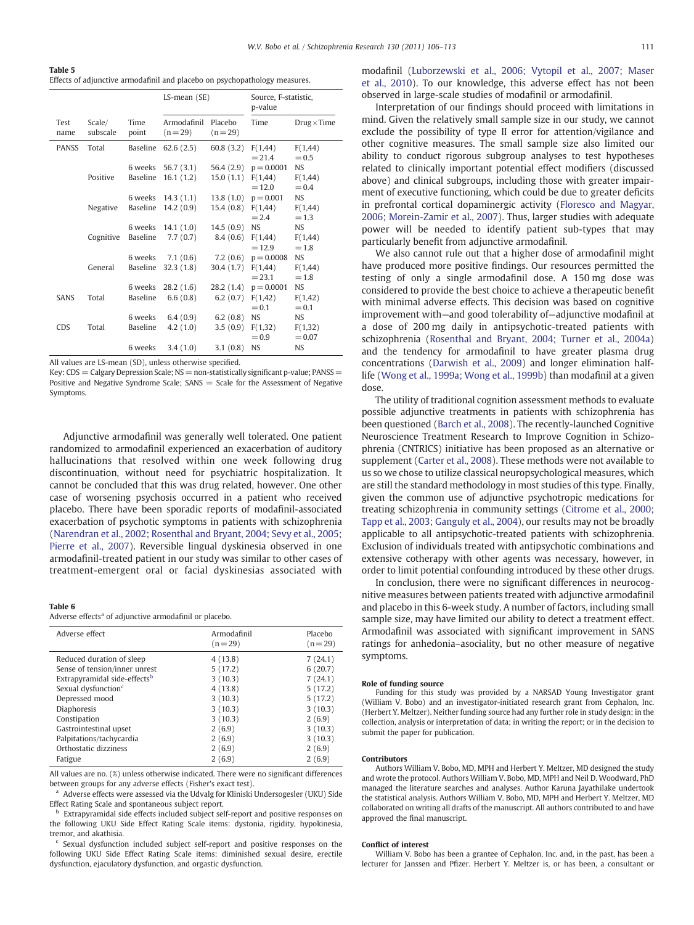<span id="page-5-0"></span>Table 5 Effects of adjunctive armodafinil and placebo on psychopathology measures.

|              |                    |                     | $LS$ -mean $(SE)$                         |                                     | Source, F-statistic,<br>p-value     |                                  |
|--------------|--------------------|---------------------|-------------------------------------------|-------------------------------------|-------------------------------------|----------------------------------|
| Test<br>name | Scale/<br>subscale | Time<br>point       | Armodafinil<br>$(n=29)$                   | Placebo<br>$(n=29)$                 | Time                                | $Drug \times Time$               |
| <b>PANSS</b> | Total              | Baseline            | 62.6(2.5)                                 | 60.8(3.2)                           | F(1, 44)<br>$= 21.4$                | F(1, 44)<br>$= 0.5$              |
|              | Positive           | 6 weeks<br>Baseline | 56.7 (3.1)<br>16.1(1.2)                   | 56.4 (2.9)<br>15.0(1.1)             | $p = 0.0001$<br>F(1, 44)<br>$=12.0$ | <b>NS</b><br>F(1, 44)<br>$= 0.4$ |
|              | Negative           |                     | 6 weeks 14.3 (1.1)<br>Baseline 14.2 (0.9) | 13.8(1.0)<br>15.4(0.8) F(1,44)      | $p = 0.001$<br>$= 2.4$              | <b>NS</b><br>F(1, 44)<br>$=1.3$  |
|              | Cognitive          | 6 weeks<br>Baseline | 14.1(1.0)<br>7.7(0.7)                     | 14.5(0.9)<br>8.4 (0.6)              | <b>NS</b><br>F(1,44)<br>$=12.9$     | NS.<br>F(1, 44)<br>$=1.8$        |
|              | General            | 6 weeks<br>Baseline | 7.1(0.6)<br>32.3(1.8)                     | 7.2(0.6)<br>30.4 $(1.7)$ F $(1,44)$ | $p = 0.0008$<br>$= 23.1$            | <b>NS</b><br>F(1, 44)<br>$=1.8$  |
| <b>SANS</b>  | Total              | 6 weeks<br>Baseline | 28.2(1.6)<br>6.6(0.8)                     | 6.2 $(0.7)$ F $(1,42)$              | 28.2 $(1.4)$ p = 0.0001<br>$= 0.1$  | <b>NS</b><br>F(1, 42)<br>$= 0.1$ |
| <b>CDS</b>   | Total              | 6 weeks<br>Baseline | 6.4(0.9)<br>4.2(1.0)                      | 6.2(0.8)<br>3.5(0.9)                | <b>NS</b><br>F(1,32)<br>$= 0.9$     | NS.<br>F(1, 32)<br>$= 0.07$      |
|              |                    | 6 weeks             | 3.4(1.0)                                  | 3.1(0.8)                            | <b>NS</b>                           | <b>NS</b>                        |

All values are LS-mean (SD), unless otherwise specified.

Key:  $CDS = Calgary Depression Scale; NS = non-statistically significant p-value; PANSS =$ Positive and Negative Syndrome Scale;  $SANS = Scale$  for the Assessment of Negative Symptoms.

Adjunctive armodafinil was generally well tolerated. One patient randomized to armodafinil experienced an exacerbation of auditory hallucinations that resolved within one week following drug discontinuation, without need for psychiatric hospitalization. It cannot be concluded that this was drug related, however. One other case of worsening psychosis occurred in a patient who received placebo. There have been sporadic reports of modafinil-associated exacerbation of psychotic symptoms in patients with schizophrenia [\(Narendran et al., 2002; Rosenthal and Bryant, 2004; Sevy et al., 2005;](#page-6-0) [Pierre et al., 2007](#page-6-0)). Reversible lingual dyskinesia observed in one armodafinil-treated patient in our study was similar to other cases of treatment-emergent oral or facial dyskinesias associated with

#### Table 6

Adverse effects<sup>a</sup> of adjunctive armodafinil or placebo.

| Adverse effect                           | Armodafinil<br>$(n=29)$ | Placebo<br>$(n=29)$ |
|------------------------------------------|-------------------------|---------------------|
| Reduced duration of sleep                | 4(13.8)                 | 7(24.1)             |
| Sense of tension/inner unrest            | 5(17.2)                 | 6(20.7)             |
| Extrapyramidal side-effects <sup>b</sup> | 3(10.3)                 | 7(24.1)             |
| Sexual dysfunction <sup>c</sup>          | 4(13.8)                 | 5(17.2)             |
| Depressed mood                           | 3(10.3)                 | 5(17.2)             |
| <b>Diaphoresis</b>                       | 3(10.3)                 | 3(10.3)             |
| Constipation                             | 3(10.3)                 | 2(6.9)              |
| Gastrointestinal upset                   | 2(6.9)                  | 3(10.3)             |
| Palpitations/tachycardia                 | 2(6.9)                  | 3(10.3)             |
| Orthostatic dizziness                    | 2(6.9)                  | 2(6.9)              |
| Fatigue                                  | 2(6.9)                  | 2(6.9)              |

All values are no. (%) unless otherwise indicated. There were no significant differences between groups for any adverse effects (Fisher's exact test).

<sup>a</sup> Adverse effects were assessed via the Udvalg for Kliniski Undersogesler (UKU) Side Effect Rating Scale and spontaneous subject report.

Extrapyramidal side effects included subject self-report and positive responses on the following UKU Side Effect Rating Scale items: dystonia, rigidity, hypokinesia, tremor, and akathisia.

Sexual dysfunction included subject self-report and positive responses on the following UKU Side Effect Rating Scale items: diminished sexual desire, erectile dysfunction, ejaculatory dysfunction, and orgastic dysfunction.

modafinil ([Luborzewski et al., 2006; Vytopil et al., 2007; Maser](#page-6-0) [et al., 2010\)](#page-6-0). To our knowledge, this adverse effect has not been observed in large-scale studies of modafinil or armodafinil.

Interpretation of our findings should proceed with limitations in mind. Given the relatively small sample size in our study, we cannot exclude the possibility of type II error for attention/vigilance and other cognitive measures. The small sample size also limited our ability to conduct rigorous subgroup analyses to test hypotheses related to clinically important potential effect modifiers (discussed above) and clinical subgroups, including those with greater impairment of executive functioning, which could be due to greater deficits in prefrontal cortical dopaminergic activity [\(Floresco and Magyar,](#page-6-0) [2006; Morein-Zamir et al., 2007\)](#page-6-0). Thus, larger studies with adequate power will be needed to identify patient sub-types that may particularly benefit from adjunctive armodafinil.

We also cannot rule out that a higher dose of armodafinil might have produced more positive findings. Our resources permitted the testing of only a single armodafinil dose. A 150 mg dose was considered to provide the best choice to achieve a therapeutic benefit with minimal adverse effects. This decision was based on cognitive improvement with—and good tolerability of—adjunctive modafinil at a dose of 200 mg daily in antipsychotic-treated patients with schizophrenia ([Rosenthal and Bryant, 2004; Turner et al., 2004a](#page-6-0)) and the tendency for armodafinil to have greater plasma drug concentrations ([Darwish et al., 2009\)](#page-6-0) and longer elimination halflife [\(Wong et al., 1999a; Wong et al., 1999b](#page-7-0)) than modafinil at a given dose.

The utility of traditional cognition assessment methods to evaluate possible adjunctive treatments in patients with schizophrenia has been questioned ([Barch et al., 2008](#page-6-0)). The recently-launched Cognitive Neuroscience Treatment Research to Improve Cognition in Schizophrenia (CNTRICS) initiative has been proposed as an alternative or supplement [\(Carter et al., 2008](#page-6-0)). These methods were not available to us so we chose to utilize classical neuropsychological measures, which are still the standard methodology in most studies of this type. Finally, given the common use of adjunctive psychotropic medications for treating schizophrenia in community settings ([Citrome et al., 2000;](#page-6-0) [Tapp et al., 2003; Ganguly et al., 2004](#page-6-0)), our results may not be broadly applicable to all antipsychotic-treated patients with schizophrenia. Exclusion of individuals treated with antipsychotic combinations and extensive cotherapy with other agents was necessary, however, in order to limit potential confounding introduced by these other drugs.

In conclusion, there were no significant differences in neurocognitive measures between patients treated with adjunctive armodafinil and placebo in this 6-week study. A number of factors, including small sample size, may have limited our ability to detect a treatment effect. Armodafinil was associated with significant improvement in SANS ratings for anhedonia–asociality, but no other measure of negative symptoms.

#### Role of funding source

Funding for this study was provided by a NARSAD Young Investigator grant (William V. Bobo) and an investigator-initiated research grant from Cephalon, Inc. (Herbert Y. Meltzer). Neither funding source had any further role in study design; in the collection, analysis or interpretation of data; in writing the report; or in the decision to submit the paper for publication.

#### Contributors

Authors William V. Bobo, MD, MPH and Herbert Y. Meltzer, MD designed the study and wrote the protocol. Authors William V. Bobo, MD, MPH and Neil D. Woodward, PhD managed the literature searches and analyses. Author Karuna Jayathilake undertook the statistical analysis. Authors William V. Bobo, MD, MPH and Herbert Y. Meltzer, MD collaborated on writing all drafts of the manuscript. All authors contributed to and have approved the final manuscript.

#### Conflict of interest

William V. Bobo has been a grantee of Cephalon, Inc. and, in the past, has been a lecturer for Janssen and Pfizer. Herbert Y. Meltzer is, or has been, a consultant or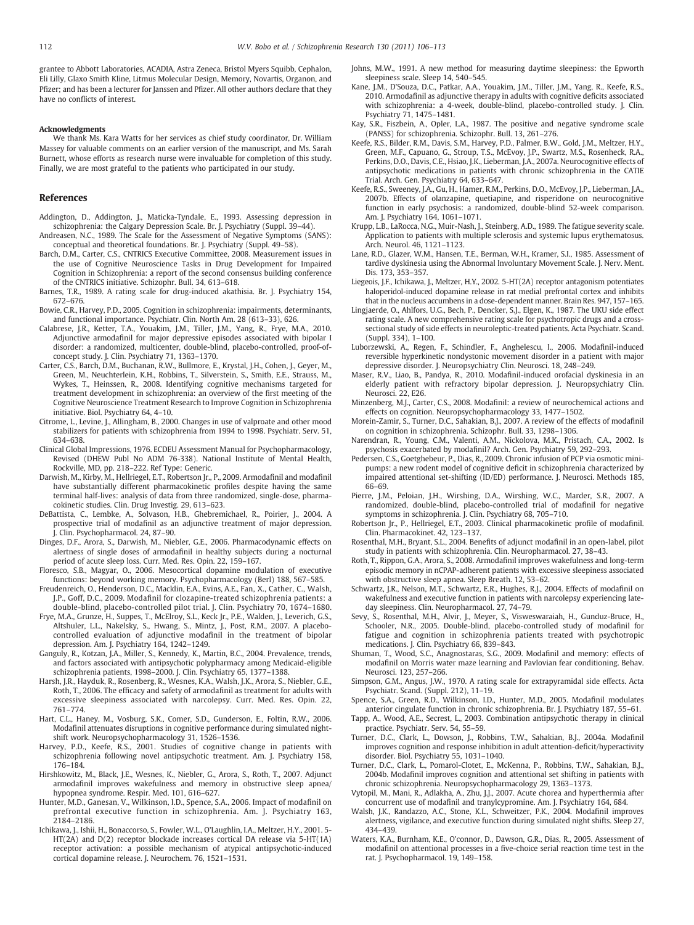<span id="page-6-0"></span>grantee to Abbott Laboratories, ACADIA, Astra Zeneca, Bristol Myers Squibb, Cephalon, Eli Lilly, Glaxo Smith Kline, Litmus Molecular Design, Memory, Novartis, Organon, and Pfizer; and has been a lecturer for Janssen and Pfizer. All other authors declare that they have no conflicts of interest.

#### Acknowledgments

We thank Ms. Kara Watts for her services as chief study coordinator, Dr. William Massey for valuable comments on an earlier version of the manuscript, and Ms. Sarah Burnett, whose efforts as research nurse were invaluable for completion of this study. Finally, we are most grateful to the patients who participated in our study.

#### References

- Addington, D., Addington, J., Maticka-Tyndale, E., 1993. Assessing depression in schizophrenia: the Calgary Depression Scale. Br. J. Psychiatry (Suppl. 39–44).
- Andreasen, N.C., 1989. The Scale for the Assessment of Negative Symptoms (SANS): conceptual and theoretical foundations. Br. J. Psychiatry (Suppl. 49–58).
- Barch, D.M., Carter, C.S., CNTRICS Executive Committee, 2008. Measurement issues in the use of Cognitive Neuroscience Tasks in Drug Development for Impaired Cognition in Schizophrenia: a report of the second consensus building conference of the CNTRICS initiative. Schizophr. Bull. 34, 613–618.
- Barnes, T.R., 1989. A rating scale for drug-induced akathisia. Br. J. Psychiatry 154, 672–676.
- Bowie, C.R., Harvey, P.D., 2005. Cognition in schizophrenia: impairments, determinants, and functional importance. Psychiatr. Clin. North Am. 28 (613–33), 626.
- Calabrese, J.R., Ketter, T.A., Youakim, J.M., Tiller, J.M., Yang, R., Frye, M.A., 2010. Adjunctive armodafinil for major depressive episodes associated with bipolar I disorder: a randomized, multicenter, double-blind, placebo-controlled, proof-ofconcept study. J. Clin. Psychiatry 71, 1363–1370.
- Carter, C.S., Barch, D.M., Buchanan, R.W., Bullmore, E., Krystal, J.H., Cohen, J., Geyer, M., Green, M., Neuchterlein, K.H., Robbins, T., Silverstein, S., Smith, E.E., Strauss, M., Wykes, T., Heinssen, R., 2008. Identifying cognitive mechanisms targeted for treatment development in schizophrenia: an overview of the first meeting of the Cognitive Neuroscience Treatment Research to Improve Cognition in Schizophrenia initiative. Biol. Psychiatry 64, 4–10.
- Citrome, L., Levine, J., Allingham, B., 2000. Changes in use of valproate and other mood stabilizers for patients with schizophrenia from 1994 to 1998. Psychiatr. Serv. 51, 634–638.
- Clinical Global Impressions, 1976. ECDEU Assessment Manual for Psychopharmacology, Revised (DHEW Publ No ADM 76-338). National Institute of Mental Health, Rockville, MD, pp. 218–222. Ref Type: Generic.
- Darwish, M., Kirby, M., Hellriegel, E.T., Robertson Jr., P., 2009. Armodafinil and modafinil have substantially different pharmacokinetic profiles despite having the same terminal half-lives: analysis of data from three randomized, single-dose, pharmacokinetic studies. Clin. Drug Investig. 29, 613–623.
- DeBattista, C., Lembke, A., Solvason, H.B., Ghebremichael, R., Poirier, J., 2004. A prospective trial of modafinil as an adjunctive treatment of major depression. J. Clin. Psychopharmacol. 24, 87–90.
- Dinges, D.F., Arora, S., Darwish, M., Niebler, G.E., 2006. Pharmacodynamic effects on alertness of single doses of armodafinil in healthy subjects during a nocturnal period of acute sleep loss. Curr. Med. Res. Opin. 22, 159–167.
- Floresco, S.B., Magyar, O., 2006. Mesocortical dopamine modulation of executive functions: beyond working memory. Psychopharmacology (Berl) 188, 567–585.
- Freudenreich, O., Henderson, D.C., Macklin, E.A., Evins, A.E., Fan, X., Cather, C., Walsh, J.P., Goff, D.C., 2009. Modafinil for clozapine-treated schizophrenia patients: a double-blind, placebo-controlled pilot trial. J. Clin. Psychiatry 70, 1674–1680.
- Frye, M.A., Grunze, H., Suppes, T., McElroy, S.L., Keck Jr., P.E., Walden, J., Leverich, G.S., Altshuler, L.L., Nakelsky, S., Hwang, S., Mintz, J., Post, R.M., 2007. A placebocontrolled evaluation of adjunctive modafinil in the treatment of bipolar depression. Am. J. Psychiatry 164, 1242–1249.
- Ganguly, R., Kotzan, J.A., Miller, S., Kennedy, K., Martin, B.C., 2004. Prevalence, trends, and factors associated with antipsychotic polypharmacy among Medicaid-eligible schizophrenia patients, 1998–2000. J. Clin. Psychiatry 65, 1377–1388.
- Harsh, J.R., Hayduk, R., Rosenberg, R., Wesnes, K.A., Walsh, J.K., Arora, S., Niebler, G.E., Roth, T., 2006. The efficacy and safety of armodafinil as treatment for adults with excessive sleepiness associated with narcolepsy. Curr. Med. Res. Opin. 22, 761–774.
- Hart, C.L., Haney, M., Vosburg, S.K., Comer, S.D., Gunderson, E., Foltin, R.W., 2006. Modafinil attenuates disruptions in cognitive performance during simulated nightshift work. Neuropsychopharmacology 31, 1526–1536.
- Harvey, P.D., Keefe, R.S., 2001. Studies of cognitive change in patients with schizophrenia following novel antipsychotic treatment. Am. J. Psychiatry 158, 176–184.
- Hirshkowitz, M., Black, J.E., Wesnes, K., Niebler, G., Arora, S., Roth, T., 2007. Adjunct armodafinil improves wakefulness and memory in obstructive sleep apnea/ hypopnea syndrome. Respir. Med. 101, 616–627.
- Hunter, M.D., Ganesan, V., Wilkinson, I.D., Spence, S.A., 2006. Impact of modafinil on prefrontal executive function in schizophrenia. Am. J. Psychiatry 163, 2184–2186.
- Ichikawa, J., Ishii, H., Bonaccorso, S., Fowler, W.L., O'Laughlin, I.A., Meltzer, H.Y., 2001. 5- HT(2A) and D(2) receptor blockade increases cortical DA release via 5-HT(1A) receptor activation: a possible mechanism of atypical antipsychotic-induced cortical dopamine release. J. Neurochem. 76, 1521–1531.
- Johns, M.W., 1991. A new method for measuring daytime sleepiness: the Epworth sleepiness scale. Sleep 14, 540–545.
- Kane, J.M., D'Souza, D.C., Patkar, A.A., Youakim, J.M., Tiller, J.M., Yang, R., Keefe, R.S., 2010. Armodafinil as adjunctive therapy in adults with cognitive deficits associated with schizophrenia: a 4-week, double-blind, placebo-controlled study. J. Clin. Psychiatry 71, 1475–1481.
- Kay, S.R., Fiszbein, A., Opler, L.A., 1987. The positive and negative syndrome scale (PANSS) for schizophrenia. Schizophr. Bull. 13, 261–276.
- Keefe, R.S., Bilder, R.M., Davis, S.M., Harvey, P.D., Palmer, B.W., Gold, J.M., Meltzer, H.Y., Green, M.F., Capuano, G., Stroup, T.S., McEvoy, J.P., Swartz, M.S., Rosenheck, R.A., Perkins, D.O., Davis, C.E., Hsiao, J.K., Lieberman, J.A., 2007a. Neurocognitive effects of antipsychotic medications in patients with chronic schizophrenia in the CATIE Trial. Arch. Gen. Psychiatry 64, 633–647.
- Keefe, R.S., Sweeney, J.A., Gu, H., Hamer, R.M., Perkins, D.O., McEvoy, J.P., Lieberman, J.A., 2007b. Effects of olanzapine, quetiapine, and risperidone on neurocognitive function in early psychosis: a randomized, double-blind 52-week comparison. Am. J. Psychiatry 164, 1061–1071.
- Krupp, L.B., LaRocca, N.G., Muir-Nash, J., Steinberg, A.D., 1989. The fatigue severity scale. Application to patients with multiple sclerosis and systemic lupus erythematosus. Arch. Neurol. 46, 1121–1123.
- Lane, R.D., Glazer, W.M., Hansen, T.E., Berman, W.H., Kramer, S.I., 1985. Assessment of tardive dyskinesia using the Abnormal Involuntary Movement Scale. J. Nerv. Ment. Dis. 173, 353–357.
- Liegeois, J.F., Ichikawa, J., Meltzer, H.Y., 2002. 5-HT(2A) receptor antagonism potentiates haloperidol-induced dopamine release in rat medial prefrontal cortex and inhibits that in the nucleus accumbens in a dose-dependent manner. Brain Res. 947, 157–165.
- Lingjaerde, O., Ahlfors, U.G., Bech, P., Dencker, S.J., Elgen, K., 1987. The UKU side effect rating scale. A new comprehensive rating scale for psychotropic drugs and a crosssectional study of side effects in neuroleptic-treated patients. Acta Psychiatr. Scand. (Suppl. 334), 1–100.
- Luborzewski, A., Regen, F., Schindler, F., Anghelescu, I., 2006. Modafinil-induced reversible hyperkinetic nondystonic movement disorder in a patient with major depressive disorder. J. Neuropsychiatry Clin. Neurosci. 18, 248–249.
- Maser, R.V., Liao, B., Pandya, R., 2010. Modafinil-induced orofacial dyskinesia in an elderly patient with refractory bipolar depression. J. Neuropsychiatry Clin. Neurosci. 22, E26.
- Minzenberg, M.J., Carter, C.S., 2008. Modafinil: a review of neurochemical actions and effects on cognition. Neuropsychopharmacology 33, 1477–1502.
- Morein-Zamir, S., Turner, D.C., Sahakian, B.J., 2007. A review of the effects of modafinil on cognition in schizophrenia. Schizophr. Bull. 33, 1298–1306.
- Narendran, R., Young, C.M., Valenti, A.M., Nickolova, M.K., Pristach, C.A., 2002. Is psychosis exacerbated by modafinil? Arch. Gen. Psychiatry 59, 292–293.
- Pedersen, C.S., Goetghebeur, P., Dias, R., 2009. Chronic infusion of PCP via osmotic minipumps: a new rodent model of cognitive deficit in schizophrenia characterized by impaired attentional set-shifting (ID/ED) performance. J. Neurosci. Methods 185, 66–69.
- Pierre, J.M., Peloian, J.H., Wirshing, D.A., Wirshing, W.C., Marder, S.R., 2007. A randomized, double-blind, placebo-controlled trial of modafinil for negative symptoms in schizophrenia. J. Clin. Psychiatry 68, 705–710.
- Robertson Jr., P., Hellriegel, E.T., 2003. Clinical pharmacokinetic profile of modafinil. Clin. Pharmacokinet. 42, 123–137.
- Rosenthal, M.H., Bryant, S.L., 2004. Benefits of adjunct modafinil in an open-label, pilot study in patients with schizophrenia. Clin. Neuropharmacol. 27, 38–43.
- Roth, T., Rippon, G.A., Arora, S., 2008. Armodafinil improves wakefulness and long-term episodic memory in nCPAP-adherent patients with excessive sleepiness associated with obstructive sleep apnea. Sleep Breath. 12, 53–62.
- Schwartz, J.R., Nelson, M.T., Schwartz, E.R., Hughes, R.J., 2004. Effects of modafinil on wakefulness and executive function in patients with narcolepsy experiencing lateday sleepiness. Clin. Neuropharmacol. 27, 74-79.
- Sevy, S., Rosenthal, M.H., Alvir, J., Meyer, S., Visweswaraiah, H., Gunduz-Bruce, H., Schooler, N.R., 2005. Double-blind, placebo-controlled study of modafinil for fatigue and cognition in schizophrenia patients treated with psychotropic medications. J. Clin. Psychiatry 66, 839–843.
- Shuman, T., Wood, S.C., Anagnostaras, S.G., 2009. Modafinil and memory: effects of modafinil on Morris water maze learning and Pavlovian fear conditioning. Behav. Neurosci. 123, 257–266.
- Simpson, G.M., Angus, J.W., 1970. A rating scale for extrapyramidal side effects. Acta Psychiatr. Scand. (Suppl. 212), 11–19.
- Spence, S.A., Green, R.D., Wilkinson, I.D., Hunter, M.D., 2005. Modafinil modulates anterior cingulate function in chronic schizophrenia. Br. J. Psychiatry 187, 55–61.
- Tapp, A., Wood, A.E., Secrest, L., 2003. Combination antipsychotic therapy in clinical practice. Psychiatr. Serv. 54, 55–59.
- Turner, D.C., Clark, L., Dowson, J., Robbins, T.W., Sahakian, B.J., 2004a. Modafinil improves cognition and response inhibition in adult attention-deficit/hyperactivity disorder. Biol. Psychiatry 55, 1031–1040.
- Turner, D.C., Clark, L., Pomarol-Clotet, E., McKenna, P., Robbins, T.W., Sahakian, B.J., 2004b. Modafinil improves cognition and attentional set shifting in patients with chronic schizophrenia. Neuropsychopharmacology 29, 1363–1373.
- Vytopil, M., Mani, R., Adlakha, A., Zhu, J.J., 2007. Acute chorea and hyperthermia after concurrent use of modafinil and tranylcypromine. Am. J. Psychiatry 164, 684.
- Walsh, J.K., Randazzo, A.C., Stone, K.L., Schweitzer, P.K., 2004. Modafinil improves alertness, vigilance, and executive function during simulated night shifts. Sleep 27, 434–439.
- Waters, K.A., Burnham, K.E., O'connor, D., Dawson, G.R., Dias, R., 2005. Assessment of modafinil on attentional processes in a five-choice serial reaction time test in the rat. J. Psychopharmacol. 19, 149–158.